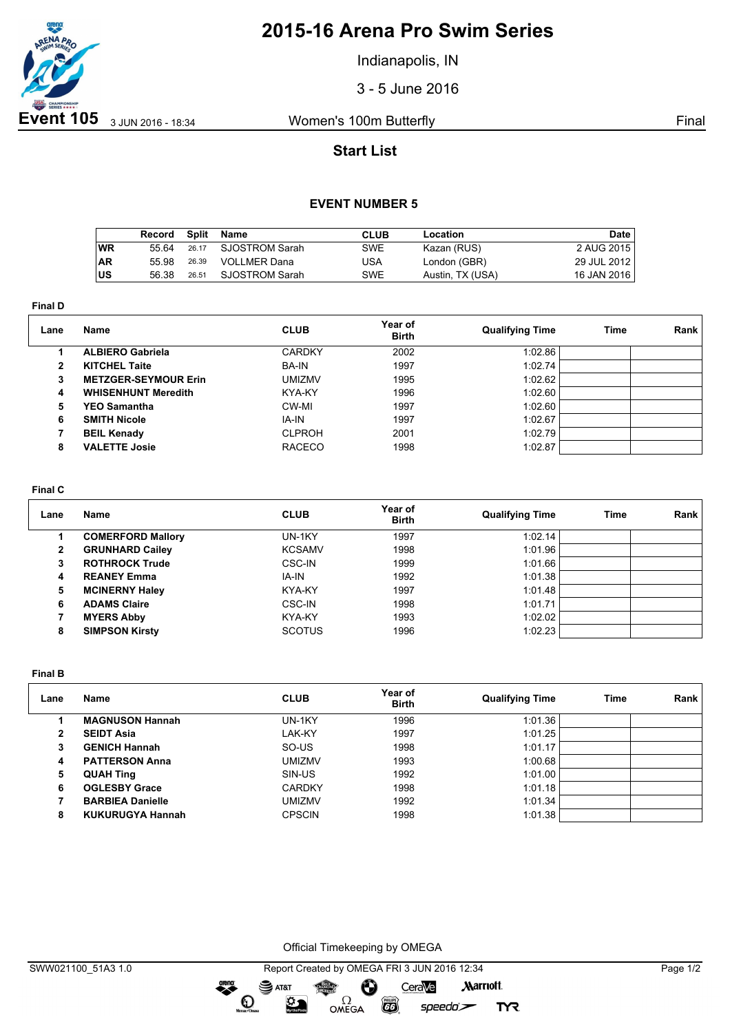

# **2015-16 Arena Pro Swim Series**

Indianapolis, IN

3 - 5 June 2016

## **Start List**

### **EVENT NUMBER 5**

|           | Record | Split | Name                | <b>CLUB</b> | Location         | Date l      |
|-----------|--------|-------|---------------------|-------------|------------------|-------------|
| <b>WR</b> | 55 64  | 26.17 | SJOSTROM Sarah      | SWE         | Kazan (RUS)      | 2 AUG 2015  |
| <b>AR</b> | 55.98  | 26.39 | <b>VOLLMER Dana</b> | USA         | London (GBR)     | 29 JUL 2012 |
| lus       | 56.38  | 26.51 | SJOSTROM Sarah      | SWE         | Austin, TX (USA) | 16 JAN 2016 |

**Final D**

| Lane | Name                        | <b>CLUB</b>   | Year of<br><b>Birth</b> | <b>Qualifying Time</b> | Time | Rank |
|------|-----------------------------|---------------|-------------------------|------------------------|------|------|
|      | <b>ALBIERO Gabriela</b>     | <b>CARDKY</b> | 2002                    | 1:02.86                |      |      |
| 2    | <b>KITCHEL Taite</b>        | <b>BA-IN</b>  | 1997                    | 1:02.74                |      |      |
| 3    | <b>METZGER-SEYMOUR Erin</b> | <b>UMIZMV</b> | 1995                    | 1:02.62                |      |      |
| 4    | <b>WHISENHUNT Meredith</b>  | KYA-KY        | 1996                    | 1:02.60                |      |      |
| 5    | <b>YEO Samantha</b>         | CW-MI         | 1997                    | 1:02.60                |      |      |
| 6    | <b>SMITH Nicole</b>         | IA-IN         | 1997                    | 1:02.67                |      |      |
|      | <b>BEIL Kenady</b>          | <b>CLPROH</b> | 2001                    | 1:02.79                |      |      |
| 8    | <b>VALETTE Josie</b>        | <b>RACECO</b> | 1998                    | 1:02.87                |      |      |

#### **Final C**

| Lane | Name                     | <b>CLUB</b>   | Year of<br><b>Birth</b> | <b>Qualifying Time</b> | Time | Rank |
|------|--------------------------|---------------|-------------------------|------------------------|------|------|
|      | <b>COMERFORD Mallory</b> | UN-1KY        | 1997                    | 1:02.14                |      |      |
| 2    | <b>GRUNHARD Cailey</b>   | <b>KCSAMV</b> | 1998                    | 1:01.96                |      |      |
| з    | <b>ROTHROCK Trude</b>    | <b>CSC-IN</b> | 1999                    | 1:01.66                |      |      |
| 4    | <b>REANEY Emma</b>       | IA-IN         | 1992                    | 1:01.38                |      |      |
| 5.   | <b>MCINERNY Haley</b>    | KYA-KY        | 1997                    | 1:01.48                |      |      |
| 6    | <b>ADAMS Claire</b>      | CSC-IN        | 1998                    | 1:01.71                |      |      |
|      | <b>MYERS Abby</b>        | KYA-KY        | 1993                    | 1:02.02                |      |      |
| 8    | <b>SIMPSON Kirsty</b>    | <b>SCOTUS</b> | 1996                    | 1:02.23                |      |      |

**Final B**

| Lane | Name                    | <b>CLUB</b>   | Year of<br><b>Birth</b> | <b>Qualifying Time</b> | Time | Rank |
|------|-------------------------|---------------|-------------------------|------------------------|------|------|
|      | <b>MAGNUSON Hannah</b>  | UN-1KY        | 1996                    | 1:01.36                |      |      |
| 2    | <b>SEIDT Asia</b>       | LAK-KY        | 1997                    | 1:01.25                |      |      |
|      | <b>GENICH Hannah</b>    | SO-US         | 1998                    | 1:01.17                |      |      |
| 4    | <b>PATTERSON Anna</b>   | UMIZMV        | 1993                    | 1:00.68                |      |      |
| 5    | <b>QUAH Ting</b>        | SIN-US        | 1992                    | 1:01.00                |      |      |
| 6    | <b>OGLESBY Grace</b>    | <b>CARDKY</b> | 1998                    | 1:01.18                |      |      |
|      | <b>BARBIEA Danielle</b> | UMIZMV        | 1992                    | 1:01.34                |      |      |
| 8    | <b>KUKURUGYA Hannah</b> | <b>CPSCIN</b> | 1998                    | 1:01.38                |      |      |

Official Timekeeping by OMEGA

dreng:

 $\mathbf{O}$